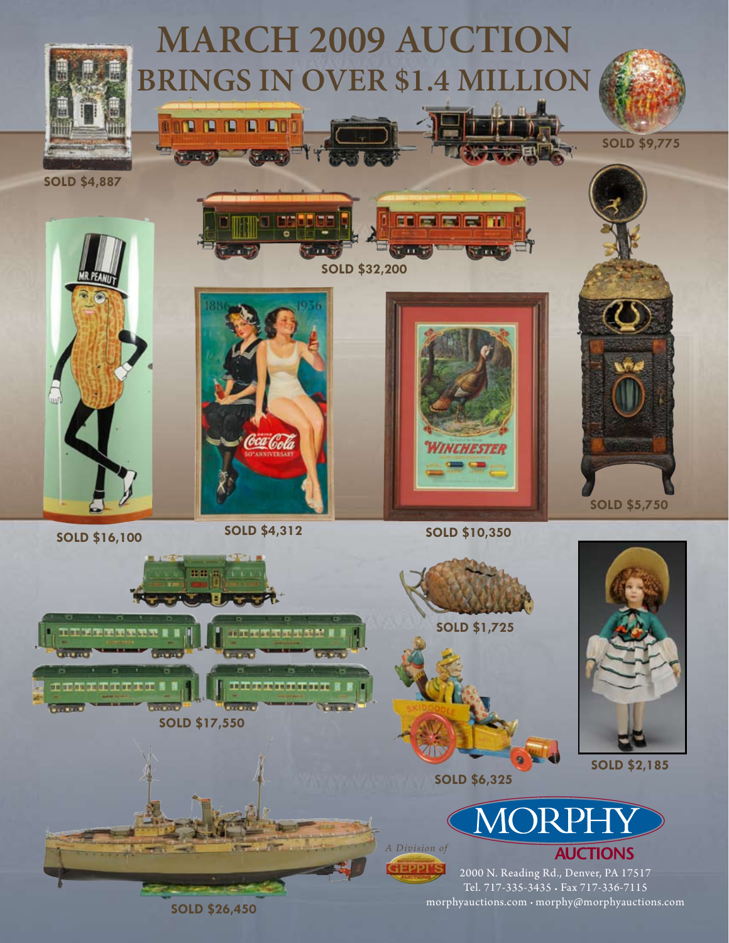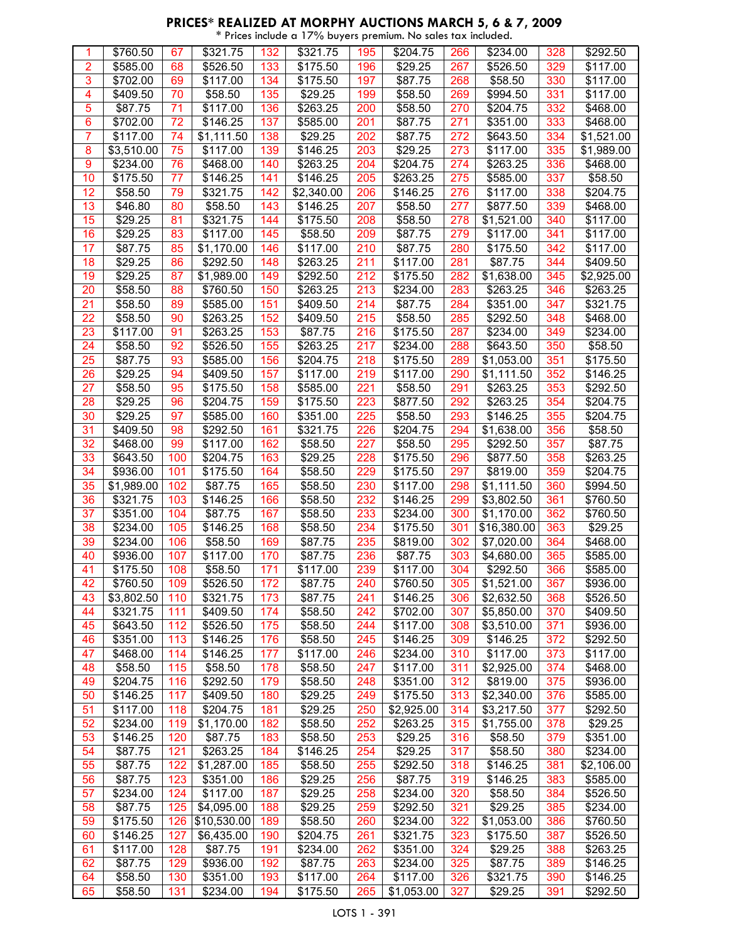#### **PRICES\* REALIZED AT MORPHY AUCTIONS MARCH 5, 6 & 7, 2009** \* Prices include a 17% buyers premium. No sales tax included.

| 1               | \$760.50            | 67  | 321.75               | 132 | \$321.75             | 195 | \$204.75             | 266 | \$234.00               | 328 | \$292.50             |
|-----------------|---------------------|-----|----------------------|-----|----------------------|-----|----------------------|-----|------------------------|-----|----------------------|
| $\overline{2}$  | \$585.00            | 68  | \$526.50             | 133 | \$175.50             | 196 | \$29.25              | 267 | \$526.50               | 329 | \$117.00             |
| 3               | \$702.00            | 69  | \$117.00             | 134 | \$175.50             | 197 | \$87.75              | 268 | \$58.50                | 330 | \$117.00             |
| 4               | \$409.50            | 70  | \$58.50              | 135 | \$29.25              | 199 | \$58.50              | 269 | \$994.50               | 331 | \$117.00             |
| 5               | \$87.75             | 71  | \$117.00             | 136 | \$263.25             | 200 | \$58.50              | 270 | \$204.75               | 332 | \$468.00             |
| 6               | \$702.00            | 72  | \$146.25             | 137 | \$585.00             | 201 | \$87.75              | 271 | \$351.00               | 333 | \$468.00             |
| 7               |                     |     |                      |     |                      |     |                      |     |                        | 334 |                      |
|                 | \$117.00            | 74  | \$1,111.50           | 138 | \$29.25              | 202 | \$87.75              | 272 | \$643.50               |     | \$1,521.00           |
| 8               | \$3,510.00          | 75  | \$117.00             | 139 | \$146.25             | 203 | \$29.25              | 273 | \$117.00               | 335 | \$1,989.00           |
| 9               | \$234.00            | 76  | \$468.00             | 140 | \$263.25             | 204 | \$204.75             | 274 | \$263.25               | 336 | \$468.00             |
| 10              | \$175.50            | 77  | \$146.25             | 141 | \$146.25             | 205 | \$263.25             | 275 | $\overline{$}585.00$   | 337 | \$58.50              |
| 12              | \$58.50             | 79  | \$321.75             | 142 | \$2,340.00           | 206 | \$146.25             | 276 | \$117.00               | 338 | \$204.75             |
| 13              | \$46.80             | 80  | \$58.50              | 143 | \$146.25             | 207 | \$58.50              | 277 | \$877.50               | 339 | \$468.00             |
| 15              | \$29.25             | 81  | \$321.75             | 144 | \$175.50             | 208 | \$58.50              | 278 | \$1,521.00             | 340 | \$117.00             |
| 16              | \$29.25             | 83  | \$117.00             | 145 | \$58.50              | 209 | \$87.75              | 279 | \$117.00               | 341 | \$117.00             |
| 17              | \$87.75             | 85  | \$1,170.00           | 146 | \$117.00             | 210 | \$87.75              | 280 | \$175.50               | 342 | $\overline{$}117.00$ |
| 18              | \$29.25             | 86  | \$292.50             | 148 | \$263.25             | 211 | \$117.00             | 281 | \$87.75                | 344 | \$409.50             |
| 19              | \$29.25             | 87  | \$1,989.00           | 149 | \$292.50             | 212 | \$175.50             | 282 | \$1,638.00             | 345 | \$2,925.00           |
| 20              | \$58.50             | 88  | \$760.50             | 150 | \$263.25             | 213 | \$234.00             | 283 | \$263.25               | 346 | \$263.25             |
| 21              | \$58.50             | 89  | \$585.00             | 151 | \$409.50             | 214 | \$87.75              | 284 | \$351.00               | 347 | \$321.75             |
| $\overline{22}$ | \$58.50             | 90  | \$263.25             | 152 | \$409.50             | 215 | \$58.50              | 285 | \$292.50               | 348 | \$468.00             |
| 23              | \$117.00            | 91  | $\overline{$}263.25$ | 153 | \$87.75              | 216 | \$175.50             | 287 | \$234.00               | 349 | \$234.00             |
| 24              | \$58.50             | 92  | \$526.50             | 155 | \$263.25             | 217 | \$234.00             | 288 | \$643.50               | 350 | \$58.50              |
| 25              | \$87.75             | 93  | \$585.00             | 156 | $\overline{$}204.75$ | 218 | $\overline{$}175.50$ | 289 | \$1,053.00             | 351 | \$175.50             |
|                 |                     |     |                      |     |                      |     |                      |     |                        |     |                      |
| 26              | \$29.25             | 94  | \$409.50             | 157 | \$117.00             | 219 | \$117.00             | 290 | \$1,111.50             | 352 | \$146.25             |
| 27              | \$58.50             | 95  | \$175.50             | 158 | \$585.00             | 221 | \$58.50              | 291 | \$263.25               | 353 | \$292.50             |
| 28              | $\overline{$}29.25$ | 96  | \$204.75             | 159 | \$175.50             | 223 | \$877.50             | 292 | \$263.25               | 354 | \$204.75             |
| 30              | \$29.25             | 97  | \$585.00             | 160 | \$351.00             | 225 | \$58.50              | 293 | \$146.25               | 355 | \$204.75             |
| 31              | \$409.50            | 98  | \$292.50             | 161 | \$321.75             | 226 | \$204.75             | 294 | \$1,638.00             | 356 | \$58.50              |
| 32              | \$468.00            | 99  | \$117.00             | 162 | \$58.50              | 227 | \$58.50              | 295 | \$292.50               | 357 | \$87.75              |
| 33              | \$643.50            | 100 | \$204.75             | 163 | \$29.25              | 228 | \$175.50             | 296 | \$877.50               | 358 | \$263.25             |
| 34              | \$936.00            | 101 | \$175.50             | 164 | \$58.50              | 229 | \$175.50             | 297 | \$819.00               | 359 | \$204.75             |
| 35              | \$1,989.00          | 102 | \$87.75              | 165 | \$58.50              | 230 | \$117.00             | 298 | \$1,111.50             | 360 | \$994.50             |
| 36              | \$321.75            | 103 | \$146.25             | 166 | \$58.50              | 232 | $\overline{$}146.25$ | 299 | \$3,802.50             | 361 | \$760.50             |
| 37              | \$351.00            | 104 | \$87.75              | 167 | \$58.50              | 233 | \$234.00             | 300 | \$1,170.00             | 362 | \$760.50             |
| 38              | \$234.00            | 105 | \$146.25             | 168 | \$58.50              | 234 | \$175.50             | 301 | \$16,380.00            | 363 | \$29.25              |
| 39              | \$234.00            | 106 | \$58.50              | 169 | \$87.75              | 235 | \$819.00             | 302 | $\overline{$7,020.00}$ | 364 | \$468.00             |
| 40              | \$936.00            | 107 | \$117.00             | 170 | \$87.75              | 236 | \$87.75              | 303 | \$4,680.00             | 365 | \$585.00             |
| 41              | \$175.50            | 108 | \$58.50              | 171 | \$117.00             | 239 | \$117.00             | 304 | \$292.50               | 366 | \$585.00             |
| 42              | \$760.50            | 109 | \$526.50             | 172 | \$87.75              | 240 | \$760.50             | 305 | \$1,521.00             | 367 | \$936.00             |
| 43              | \$3,802.50          | 110 | \$321.75             | 173 | \$87.75              | 241 | \$146.25             | 306 | \$2,632.50             | 368 | \$526.50             |
| 44              |                     | 111 |                      |     |                      |     |                      | 307 | \$5,850.00             |     |                      |
|                 | \$321.75            |     | \$409.50             | 174 | \$58.50              | 242 | \$702.00             |     |                        | 370 | \$409.50             |
| 45              | \$643.50            | 112 | \$526.50             | 175 | \$58.50              | 244 | \$117.00             | 308 | \$3,510.00             | 371 | \$936.00             |
| 46              | \$351.00            | 113 | \$146.25             | 176 | \$58.50              | 245 | \$146.25             | 309 | \$146.25               | 372 | \$292.50             |
| 47              | \$468.00            | 114 | \$146.25             | 177 | \$117.00             | 246 | \$234.00             | 310 | \$117.00               | 373 | \$117.00             |
| 48              | \$58.50             | 115 | \$58.50              | 178 | \$58.50              | 247 | \$117.00             | 311 | $\overline{$}2,925.00$ | 374 | \$468.00             |
| 49              | \$204.75            | 116 | \$292.50             | 179 | \$58.50              | 248 | \$351.00             | 312 | \$819.00               | 375 | \$936.00             |
| 50              | \$146.25            | 117 | \$409.50             | 180 | \$29.25              | 249 | \$175.50             | 313 | \$2,340.00             | 376 | \$585.00             |
| 51              | \$117.00            | 118 | \$204.75             | 181 | \$29.25              | 250 | \$2,925.00           | 314 | \$3,217.50             | 377 | \$292.50             |
| 52              | \$234.00            | 119 | \$1,170.00           | 182 | \$58.50              | 252 | \$263.25             | 315 | \$1,755.00             | 378 | \$29.25              |
| 53              | \$146.25            | 120 | \$87.75              | 183 | \$58.50              | 253 | \$29.25              | 316 | \$58.50                | 379 | \$351.00             |
| 54              | \$87.75             | 121 | \$263.25             | 184 | \$146.25             | 254 | \$29.25              | 317 | \$58.50                | 380 | \$234.00             |
| 55              | \$87.75             | 122 | \$1,287.00           | 185 | \$58.50              | 255 | \$292.50             | 318 | \$146.25               | 381 | \$2,106.00           |
| 56              | \$87.75             | 123 | \$351.00             | 186 | \$29.25              | 256 | \$87.75              | 319 | \$146.25               | 383 | \$585.00             |
| 57              | \$234.00            | 124 | \$117.00             | 187 | \$29.25              | 258 | \$234.00             | 320 | \$58.50                | 384 | \$526.50             |
| 58              | \$87.75             | 125 | \$4,095.00           | 188 | \$29.25              | 259 | \$292.50             | 321 | \$29.25                | 385 | \$234.00             |
| 59              | \$175.50            | 126 | \$10,530.00          | 189 | \$58.50              | 260 | \$234.00             | 322 | \$1,053.00             | 386 | \$760.50             |
| 60              | \$146.25            | 127 | \$6,435.00           | 190 | \$204.75             | 261 | \$321.75             | 323 | \$175.50               | 387 | \$526.50             |
| 61              | \$117.00            | 128 | \$87.75              | 191 | \$234.00             | 262 | \$351.00             | 324 | \$29.25                | 388 | \$263.25             |
| 62              | \$87.75             | 129 | \$936.00             | 192 | \$87.75              | 263 | \$234.00             | 325 | \$87.75                | 389 | \$146.25             |
| 64              | \$58.50             | 130 | \$351.00             | 193 | \$117.00             | 264 | \$117.00             | 326 | \$321.75               | 390 | \$146.25             |
| 65              | \$58.50             | 131 | \$234.00             | 194 | \$175.50             | 265 | \$1,053.00           | 327 | \$29.25                | 391 | \$292.50             |
|                 |                     |     |                      |     |                      |     |                      |     |                        |     |                      |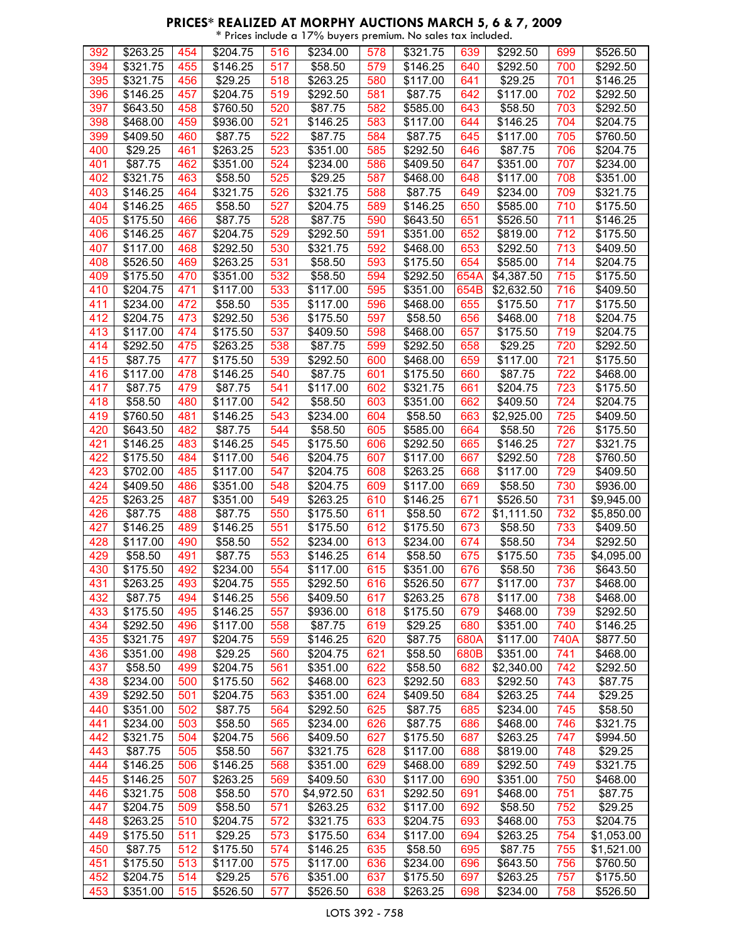#### **PRICES\* REALIZED AT MORPHY AUCTIONS MARCH 5, 6 & 7, 2009** \* Prices include a 17% buyers premium. No sales tax included.

|     | \$263.25             |     | $\sqrt{$204.75}$    |     | \$234.00             |     | \$321.75             |      |                      |      | \$526.50   |
|-----|----------------------|-----|---------------------|-----|----------------------|-----|----------------------|------|----------------------|------|------------|
| 392 |                      | 454 |                     | 516 |                      | 578 |                      | 639  | \$292.50             | 699  |            |
| 394 | \$321.75             | 455 | \$146.25            | 517 | \$58.50              | 579 | \$146.25             | 640  | \$292.50             | 700  | \$292.50   |
| 395 | \$321.75             | 456 | \$29.25             | 518 | \$263.25             | 580 | \$117.00             | 641  | \$29.25              | 701  | \$146.25   |
| 396 | \$146.25             | 457 | \$204.75            | 519 | \$292.50             | 581 | \$87.75              | 642  | \$117.00             | 702  | \$292.50   |
| 397 | \$643.50             | 458 | \$760.50            | 520 | \$87.75              | 582 | \$585.00             | 643  | \$58.50              | 703  | \$292.50   |
| 398 | $\overline{$}468.00$ | 459 | \$936.00            | 521 | \$146.25             | 583 | \$117.00             | 644  | \$146.25             | 704  | \$204.75   |
| 399 | \$409.50             | 460 | $\overline{$87.75}$ | 522 | \$87.75              | 584 | $\overline{$87.75}$  | 645  | \$117.00             | 705  | \$760.50   |
| 400 | \$29.25              | 461 | \$263.25            | 523 | \$351.00             | 585 | \$292.50             | 646  | \$87.75              | 706  | \$204.75   |
| 401 | \$87.75              | 462 | \$351.00            | 524 | \$234.00             | 586 | \$409.50             | 647  | \$351.00             | 707  | \$234.00   |
| 402 | \$321.75             | 463 | \$58.50             | 525 | \$29.25              | 587 | \$468.00             | 648  | \$117.00             | 708  | \$351.00   |
| 403 | \$146.25             | 464 | \$321.75            | 526 | \$321.75             | 588 | \$87.75              | 649  | \$234.00             | 709  | \$321.75   |
| 404 | \$146.25             | 465 | \$58.50             | 527 | \$204.75             | 589 | \$146.25             | 650  | \$585.00             | 710  | \$175.50   |
|     |                      |     |                     |     |                      |     |                      |      |                      |      |            |
| 405 | \$175.50             | 466 | \$87.75             | 528 | \$87.75              | 590 | \$643.50             | 651  | \$526.50             | 711  | \$146.25   |
| 406 | \$146.25             | 467 | \$204.75            | 529 | \$292.50             | 591 | \$351.00             | 652  | \$819.00             | 712  | \$175.50   |
| 407 | \$117.00             | 468 | \$292.50            | 530 | \$321.75             | 592 | \$468.00             | 653  | \$292.50             | 713  | \$409.50   |
| 408 | \$526.50             | 469 | \$263.25            | 531 | \$58.50              | 593 | \$175.50             | 654  | \$585.00             | 714  | \$204.75   |
| 409 | \$175.50             | 470 | \$351.00            | 532 | \$58.50              | 594 | \$292.50             | 654A | \$4,387.50           | 715  | \$175.50   |
| 410 | \$204.75             | 471 | \$117.00            | 533 | \$117.00             | 595 | \$351.00             | 654B | \$2,632.50           | 716  | \$409.50   |
| 411 | \$234.00             | 472 | \$58.50             | 535 | \$117.00             | 596 | \$468.00             | 655  | \$175.50             | 717  | \$175.50   |
| 412 | \$204.75             | 473 | \$292.50            | 536 | \$175.50             | 597 | \$58.50              | 656  | \$468.00             | 718  | \$204.75   |
| 413 | \$117.00             | 474 | \$175.50            | 537 | \$409.50             | 598 | \$468.00             | 657  | \$175.50             | 719  | \$204.75   |
| 414 | \$292.50             | 475 | \$263.25            | 538 | \$87.75              | 599 | \$292.50             | 658  | \$29.25              | 720  | \$292.50   |
| 415 | \$87.75              | 477 | \$175.50            | 539 | \$292.50             | 600 | \$468.00             | 659  | \$117.00             | 721  | \$175.50   |
| 416 | \$117.00             | 478 | \$146.25            | 540 | \$87.75              | 601 | \$175.50             | 660  | \$87.75              | 722  | \$468.00   |
| 417 | \$87.75              | 479 | \$87.75             | 541 | \$117.00             | 602 | \$321.75             | 661  | \$204.75             | 723  | \$175.50   |
| 418 | \$58.50              | 480 | \$117.00            | 542 | \$58.50              | 603 | \$351.00             | 662  | \$409.50             | 724  | \$204.75   |
| 419 | \$760.50             | 481 | \$146.25            | 543 | \$234.00             | 604 | \$58.50              | 663  | \$2,925.00           | 725  | \$409.50   |
| 420 | \$643.50             | 482 | \$87.75             | 544 | \$58.50              | 605 | \$585.00             | 664  | \$58.50              | 726  | \$175.50   |
| 421 | \$146.25             | 483 | \$146.25            | 545 | \$175.50             | 606 | \$292.50             | 665  | \$146.25             | 727  | \$321.75   |
| 422 | \$175.50             | 484 | \$117.00            | 546 | \$204.75             | 607 | \$117.00             | 667  | \$292.50             | 728  | \$760.50   |
| 423 | \$702.00             | 485 | \$117.00            | 547 | \$204.75             | 608 | \$263.25             | 668  | \$117.00             | 729  | \$409.50   |
| 424 | \$409.50             | 486 | \$351.00            | 548 | \$204.75             | 609 | \$117.00             | 669  | \$58.50              | 730  | \$936.00   |
| 425 |                      | 487 | \$351.00            |     |                      | 610 | $\overline{$}146.25$ | 671  |                      | 731  |            |
|     | \$263.25             |     |                     | 549 | \$263.25             |     |                      |      | \$526.50             |      | \$9,945.00 |
| 426 | \$87.75              | 488 | \$87.75             | 550 | \$175.50             | 611 | \$58.50              | 672  | \$1,111.50           | 732  | \$5,850.00 |
| 427 | \$146.25             | 489 | \$146.25            | 551 | $\overline{$175.50}$ | 612 | \$175.50             | 673  | \$58.50              | 733  | \$409.50   |
| 428 | \$117.00             | 490 | \$58.50             | 552 | \$234.00             | 613 | \$234.00             | 674  | \$58.50              | 734  | \$292.50   |
| 429 | \$58.50              | 491 | \$87.75             | 553 | \$146.25             | 614 | \$58.50              | 675  | \$175.50             | 735  | \$4,095.00 |
| 430 | \$175.50             | 492 | \$234.00            | 554 | \$117.00             | 615 | \$351.00             | 676  | \$58.50              | 736  | \$643.50   |
| 431 | $\overline{$}263.25$ | 493 | \$204.75            | 555 | \$292.50             | 616 | \$526.50             | 677  | \$117.00             | 737  | \$468.00   |
| 432 | \$87.75              | 494 | \$146.25            | 556 | \$409.50             | 617 | \$263.25             | 678  | \$117.00             | 738  | \$468.00   |
| 433 | \$175.50             | 495 | \$146.25            | 557 | \$936.00             | 618 | \$175.50             | 679  | $\overline{$}468.00$ | 739  | \$292.50   |
| 434 | \$292.50             | 496 | \$117.00            | 558 | \$87.75              | 619 | \$29.25              | 680  | \$351.00             | 740  | \$146.25   |
| 435 | \$321.75             | 497 | \$204.75            | 559 | \$146.25             | 620 | \$87.75              | 680A | \$117.00             | 740A | \$877.50   |
| 436 | \$351.00             | 498 | \$29.25             | 560 | \$204.75             | 621 | \$58.50              | 680B | \$351.00             | 741  | \$468.00   |
| 437 | \$58.50              | 499 | \$204.75            | 561 | \$351.00             | 622 | \$58.50              | 682  | \$2,340.00           | 742  | \$292.50   |
| 438 | \$234.00             | 500 | \$175.50            | 562 | \$468.00             | 623 | \$292.50             | 683  | $\sqrt{$292.50}$     | 743  | \$87.75    |
| 439 | \$292.50             | 501 | \$204.75            | 563 | \$351.00             | 624 | \$409.50             | 684  | \$263.25             | 744  | \$29.25    |
| 440 | \$351.00             | 502 | \$87.75             | 564 | \$292.50             | 625 | \$87.75              | 685  | \$234.00             | 745  | \$58.50    |
| 441 | \$234.00             | 503 | \$58.50             | 565 | \$234.00             | 626 | \$87.75              | 686  | \$468.00             | 746  | \$321.75   |
| 442 | \$321.75             | 504 | \$204.75            | 566 | \$409.50             | 627 | \$175.50             | 687  | \$263.25             | 747  | \$994.50   |
| 443 | \$87.75              | 505 | \$58.50             | 567 | \$321.75             | 628 | \$117.00             | 688  | \$819.00             | 748  | \$29.25    |
| 444 | \$146.25             | 506 | \$146.25            | 568 | \$351.00             | 629 | \$468.00             | 689  | \$292.50             | 749  | \$321.75   |
| 445 | \$146.25             | 507 | \$263.25            | 569 | \$409.50             | 630 | \$117.00             | 690  | \$351.00             | 750  | \$468.00   |
| 446 | \$321.75             | 508 | \$58.50             | 570 | \$4,972.50           | 631 | \$292.50             | 691  | \$468.00             | 751  | \$87.75    |
| 447 | \$204.75             | 509 | \$58.50             | 571 | \$263.25             | 632 | \$117.00             | 692  | \$58.50              | 752  | \$29.25    |
| 448 | \$263.25             | 510 | \$204.75            | 572 | \$321.75             | 633 | \$204.75             | 693  | \$468.00             | 753  | \$204.75   |
| 449 | \$175.50             | 511 | \$29.25             | 573 | \$175.50             | 634 | \$117.00             | 694  | \$263.25             | 754  |            |
|     |                      |     |                     |     |                      |     |                      |      |                      |      | \$1,053.00 |
| 450 | \$87.75              | 512 | \$175.50            | 574 | \$146.25             | 635 | \$58.50              | 695  | \$87.75              | 755  | \$1,521.00 |
| 451 | \$175.50             | 513 | \$117.00            | 575 | \$117.00             | 636 | \$234.00             | 696  | \$643.50             | 756  | \$760.50   |
| 452 | \$204.75             | 514 | \$29.25             | 576 | \$351.00             | 637 | \$175.50             | 697  | \$263.25             | 757  | \$175.50   |
| 453 | \$351.00             | 515 | \$526.50            | 577 | \$526.50             | 638 | \$263.25             | 698  | \$234.00             | 758  | \$526.50   |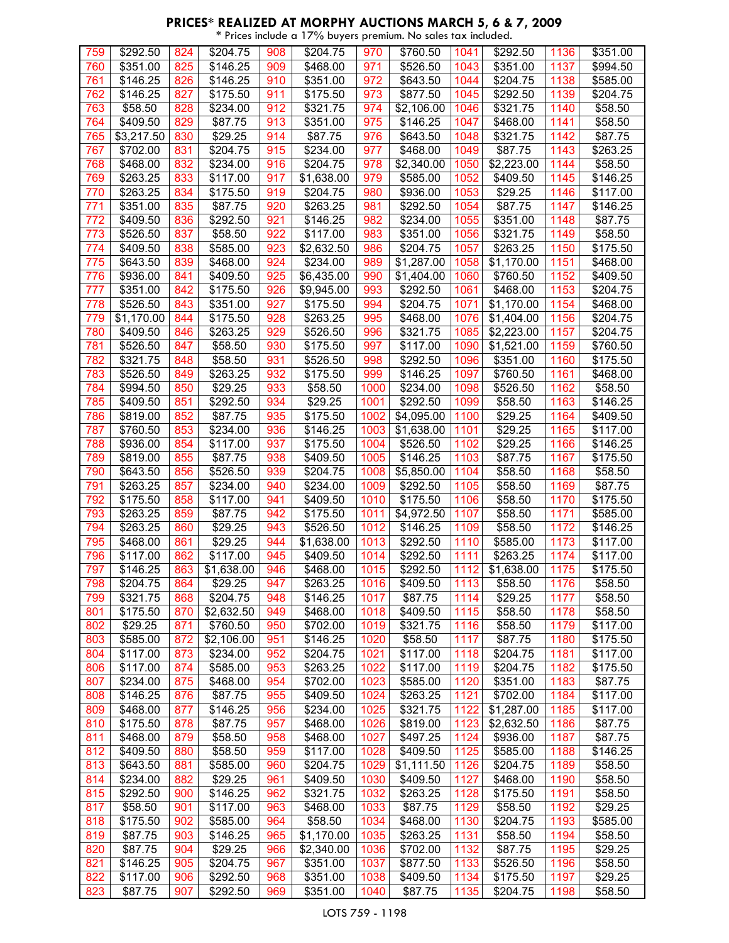|            |                      |            |                     |            | * Prices include a 17% buyers premium. No sales tax included. |              |                      |              |                      |              |                      |
|------------|----------------------|------------|---------------------|------------|---------------------------------------------------------------|--------------|----------------------|--------------|----------------------|--------------|----------------------|
| 759        | \$292.50             | 824        | \$204.75            | 908        | \$204.75                                                      | 970          | \$760.50             | 1041         | \$292.50             | 1136         | \$351.00             |
| 760        | \$351.00             | 825        | \$146.25            | 909        | \$468.00                                                      | 971          | \$526.50             | 1043         | \$351.00             | 1137         | \$994.50             |
| 761        | \$146.25             | 826        | \$146.25            | 910        | \$351.00                                                      | 972          | \$643.50             | 1044         | \$204.75             | 1138         | \$585.00             |
| 762        | \$146.25             | 827        | \$175.50            | 911        | \$175.50                                                      | 973          | \$877.50             | 1045         | \$292.50             | 1139         | \$204.75             |
| 763        | \$58.50              | 828        | \$234.00            | 912        | \$321.75                                                      | 974          | \$2,106.00           | 1046         | \$321.75             | 1140         | \$58.50              |
| 764        | \$409.50             | 829        | \$87.75             | 913        | \$351.00                                                      | 975          | \$146.25             | 1047         | \$468.00             | 1141         | \$58.50              |
| 765        | \$3,217.50           | 830        | \$29.25             | 914        | \$87.75                                                       | 976          | \$643.50             | 1048         | \$321.75             | 1142         | \$87.75              |
| 767        | \$702.00             | 831        | \$204.75            | 915        | \$234.00                                                      | 977          | \$468.00             | 1049         | \$87.75              | 1143         | \$263.25             |
| 768        | \$468.00             | 832        | \$234.00            | 916        | \$204.75                                                      | 978          | \$2,340.00           | 1050         | \$2,223.00           | 1144         | \$58.50              |
| 769        | \$263.25             | 833        | \$117.00            | 917        | \$1,638.00                                                    | 979          | \$585.00             | 1052         | \$409.50             | 1145         | \$146.25             |
| 770        | \$263.25             | 834        | \$175.50            | 919        | \$204.75                                                      | 980          | \$936.00             | 1053         | \$29.25              | 1146         | \$117.00             |
| 771        | \$351.00             | 835        | \$87.75             | 920        | \$263.25                                                      | 981          | \$292.50             | 1054         | \$87.75              | 1147         | \$146.25             |
| 772        | \$409.50             | 836        | \$292.50            | 921        | \$146.25                                                      | 982          | $\sqrt{$234.00}$     | 1055         | \$351.00             | 1148         | \$87.75              |
| 773        | \$526.50             | 837        | \$58.50             | 922        | \$117.00                                                      | 983          | $\sqrt{3}351.00$     | 1056         | \$321.75             | 1149         | \$58.50              |
| 774        | \$409.50             | 838        | \$585.00            | 923        | \$2,632.50                                                    | 986          | \$204.75             | 1057         | \$263.25             | 1150         | \$175.50             |
| 775        | \$643.50             | 839        | \$468.00            | 924        | \$234.00                                                      | 989          | \$1,287.00           | 1058         | \$1,170.00           | 1151         | \$468.00             |
| 776        | \$936.00             | 841        | \$409.50            | 925        | \$6,435.00                                                    | 990          | \$1,404.00           | 1060         | \$760.50             | 1152         | \$409.50             |
| 777        | \$351.00             | 842        | \$175.50            | 926        | \$9,945.00                                                    | 993          | \$292.50             | 1061         | \$468.00             | 1153         | \$204.75             |
| 778        | \$526.50             | 843        | \$351.00            | 927        | \$175.50                                                      | 994          | \$204.75             | 1071         | \$1,170.00           | 1154         | \$468.00             |
| 779        | \$1,170.00           | 844        | \$175.50            | 928        | \$263.25                                                      | 995          | $\overline{$}468.00$ | 1076         | \$1,404.00           | 1156         | \$204.75             |
| 780        | \$409.50             | 846        | \$263.25            | 929        | \$526.50                                                      | 996          | \$321.75             | 1085         | \$2,223.00           | 1157         | \$204.75             |
| 781        | \$526.50             | 847        | \$58.50             | 930        | \$175.50                                                      | 997          | \$117.00             | 1090         | \$1,521.00           | 1159         | \$760.50             |
| 782        | \$321.75             | 848        | \$58.50             | 931        | \$526.50                                                      | 998          | \$292.50             | 1096         | \$351.00             | 1160         | \$175.50             |
| 783        | \$526.50             | 849        | \$263.25            | 932        | \$175.50                                                      | 999          | \$146.25             | 1097         | \$760.50             | 1161         | \$468.00             |
| 784        | \$994.50             | 850        | \$29.25             | 933        | \$58.50                                                       | 1000         | \$234.00             | 1098         | \$526.50             | 1162         | \$58.50              |
| 785        | \$409.50             | 851        | \$292.50            | 934        | \$29.25                                                       | 1001         | \$292.50             | 1099         | \$58.50              | 1163         | \$146.25             |
| 786        | \$819.00             | 852        | \$87.75             | 935        | \$175.50                                                      | 1002         | \$4,095.00           | 1100         | \$29.25              | 1164         | \$409.50             |
| 787        | \$760.50             | 853        | \$234.00            | 936        | \$146.25                                                      | 1003         | \$1,638.00           | 1101         | \$29.25              | 1165         | \$117.00             |
| 788        | \$936.00             | 854        | \$117.00            | 937        | \$175.50                                                      | 1004         | \$526.50             | 1102         | \$29.25              | 1166         | \$146.25             |
| 789        | \$819.00             | 855        | \$87.75             | 938        | \$409.50                                                      | 1005         | \$146.25             | 1103         | \$87.75              | 1167         | $\overline{$}175.50$ |
| 790        | \$643.50             | 856        | \$526.50            | 939        | \$204.75                                                      | 1008         | \$5,850.00           | 1104         | \$58.50              | 1168         | \$58.50              |
| 791        | \$263.25             | 857        | \$234.00            | 940        | \$234.00                                                      | 1009         | \$292.50             | 1105         | \$58.50              | 1169         | \$87.75              |
| 792        | \$175.50             | 858        | \$117.00            | 941        | \$409.50                                                      | 1010         | \$175.50             | 1106         | \$58.50              | 1170         | \$175.50             |
| 793        | \$263.25             | 859        | \$87.75             | 942        | \$175.50                                                      | 1011         | \$4,972.50           | 1107         | \$58.50              | 1171         | \$585.00             |
| 794        | \$263.25             | 860        | \$29.25             | 943        | \$526.50                                                      | 1012         | \$146.25             | 1109         | \$58.50              | 1172         | \$146.25             |
| 795        | \$468.00             | 861        | \$29.25             | 944        | \$1,638.00                                                    | 1013         | \$292.50             | 1110         | \$585.00             | 1173         | \$117.00             |
| 796        | \$117.00             | 862        | \$117.00            | 945        | \$409.50                                                      | 1014         | \$292.50             | 1111         | \$263.25             | 1174         | \$117.00             |
| 797        | \$146.25             | 863        | \$1,638.00          | 946        | \$468.00                                                      | 1015         | \$292.50             | 1112         | \$1,638.00           | 1175         | \$175.50             |
| 798        | \$204.75             | 864        | \$29.25             | 947        | \$263.25                                                      | 1016         | \$409.50             | 1113         | \$58.50              | 1176         | \$58.50              |
| 799        | \$321.75             | 868        | \$204.75            | 948        | \$146.25                                                      | 1017         | \$87.75              | 1114         | \$29.25              | 1177         | \$58.50              |
| 801        | \$175.50             | 870        | \$2,632.50          | 949        | \$468.00                                                      | 1018         | \$409.50             | 1115         | \$58.50              | 1178         | \$58.50              |
| 802        | \$29.25              | 871        | \$760.50            | 950        | \$702.00                                                      | 1019         | \$321.75             | 1116         | \$58.50              | 1179         | \$117.00             |
| 803        | \$585.00             | 872        | \$2,106.00          | 951        | \$146.25                                                      | 1020         | \$58.50              | 1117         | \$87.75              | 1180         | \$175.50             |
| 804        | \$117.00             | 873        | \$234.00            | 952        | \$204.75                                                      | 1021         | \$117.00             | 1118         | \$204.75<br>\$204.75 | 1181         | \$117.00             |
| 806<br>807 | \$117.00             | 874<br>875 | \$585.00            | 953<br>954 | \$263.25<br>\$702.00                                          | 1022<br>1023 | \$117.00             | 1119<br>1120 |                      | 1182<br>1183 | \$175.50             |
| 808        | \$234.00<br>\$146.25 | 876        | \$468.00<br>\$87.75 | 955        | \$409.50                                                      | 1024         | \$585.00<br>\$263.25 | 1121         | \$351.00<br>\$702.00 | 1184         | \$87.75<br>\$117.00  |
| 809        | \$468.00             | 877        | \$146.25            | 956        | \$234.00                                                      | 1025         | \$321.75             | 1122         | \$1,287.00           | 1185         | \$117.00             |
| 810        | \$175.50             | 878        | \$87.75             | 957        | \$468.00                                                      | 1026         | \$819.00             | 1123         | \$2,632.50           | 1186         | \$87.75              |
| 811        | \$468.00             | 879        | \$58.50             | 958        | \$468.00                                                      | 1027         | \$497.25             | 1124         | \$936.00             | 1187         | \$87.75              |
| 812        | \$409.50             | 880        | \$58.50             | 959        | \$117.00                                                      | 1028         | \$409.50             | 1125         | \$585.00             | 1188         | \$146.25             |
| 813        | \$643.50             | 881        | \$585.00            | 960        | \$204.75                                                      | 1029         | \$1,111.50           | 1126         | \$204.75             | 1189         | \$58.50              |
| 814        | \$234.00             | 882        | \$29.25             | 961        | \$409.50                                                      | 1030         | \$409.50             | 1127         | \$468.00             | 1190         | \$58.50              |
| 815        | \$292.50             | 900        | \$146.25            | 962        | \$321.75                                                      | 1032         | \$263.25             | 1128         | \$175.50             | 1191         | \$58.50              |
| 817        | \$58.50              | 901        | \$117.00            | 963        | \$468.00                                                      | 1033         | \$87.75              | 1129         | \$58.50              | 1192         | \$29.25              |
| 818        | \$175.50             | 902        | \$585.00            | 964        | \$58.50                                                       | 1034         | \$468.00             | 1130         | \$204.75             | 1193         | \$585.00             |
| 819        | \$87.75              | 903        | \$146.25            | 965        | \$1,170.00                                                    | 1035         | \$263.25             | 1131         | \$58.50              | 1194         | \$58.50              |
| 820        | \$87.75              | 904        | \$29.25             | 966        | \$2,340.00                                                    | 1036         | \$702.00             | 1132         | \$87.75              | 1195         | \$29.25              |
| 821        | \$146.25             | 905        | \$204.75            | 967        | \$351.00                                                      | 1037         | \$877.50             | 1133         | \$526.50             | 1196         | \$58.50              |
| 822        | \$117.00             | 906        | \$292.50            | 968        | \$351.00                                                      | 1038         | \$409.50             | 1134         | \$175.50             | 1197         | \$29.25              |
| 823        | \$87.75              | 907        | \$292.50            | 969        | \$351.00                                                      | 1040         | \$87.75              | 1135         | \$204.75             | 1198         | \$58.50              |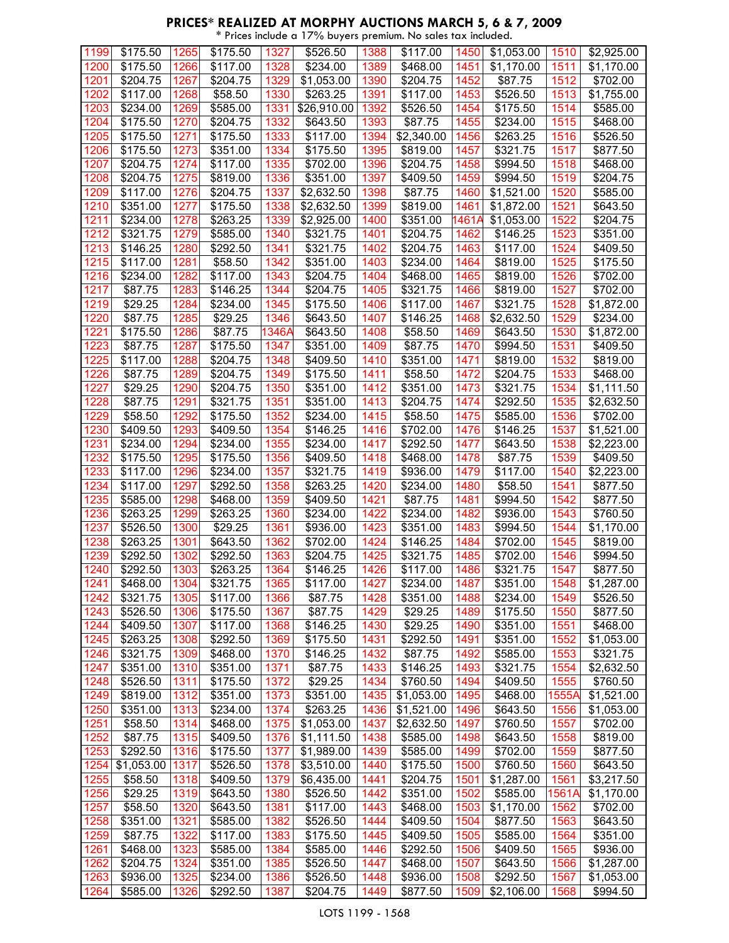#### **PRICES\* REALIZED AT MORPHY AUCTIONS MARCH 5, 6 & 7, 2009** \* Prices include a 17% buyers premium. No sales tax included.

| 1199 | \$175.50             | 1265 | \$175.50             | 1327  | \$526.50             | 1388 | \$117.00               | 1450  | \$1,053.00          | 1510  | \$2,925.00          |
|------|----------------------|------|----------------------|-------|----------------------|------|------------------------|-------|---------------------|-------|---------------------|
| 1200 | \$175.50             | 1266 | \$117.00             | 1328  | \$234.00             | 1389 | \$468.00               | 1451  | \$1,170.00          | 1511  | \$1,170.00          |
| 1201 | \$204.75             | 1267 | \$204.75             | 1329  | \$1,053.00           | 1390 | \$204.75               | 1452  | \$87.75             | 1512  | \$702.00            |
| 1202 | \$117.00             | 1268 | \$58.50              | 1330  | \$263.25             | 1391 | \$117.00               | 1453  | \$526.50            | 1513  | \$1,755.00          |
| 1203 | \$234.00             | 1269 | \$585.00             | 1331  | \$26,910.00          | 1392 | \$526.50               | 1454  | \$175.50            | 1514  | \$585.00            |
| 1204 | \$175.50             | 1270 | \$204.75             | 1332  | \$643.50             | 1393 | \$87.75                | 1455  | \$234.00            | 1515  | \$468.00            |
| 1205 | \$175.50             | 1271 | \$175.50             | 1333  | \$117.00             | 1394 | \$2,340.00             | 1456  | \$263.25            | 1516  | \$526.50            |
| 1206 | \$175.50             | 1273 | \$351.00             | 1334  | \$175.50             | 1395 | \$819.00               | 1457  | \$321.75            | 1517  | \$877.50            |
| 1207 | \$204.75             | 1274 | \$117.00             | 1335  | \$702.00             | 1396 | \$204.75               | 1458  | \$994.50            | 1518  | \$468.00            |
| 1208 | \$204.75             | 1275 | \$819.00             | 1336  | \$351.00             | 1397 | \$409.50               | 1459  | \$994.50            | 1519  | \$204.75            |
|      | \$117.00             |      |                      |       |                      |      |                        |       |                     |       | \$585.00            |
| 1209 |                      | 1276 | \$204.75             | 1337  | \$2,632.50           | 1398 | \$87.75                | 1460  | \$1,521.00          | 1520  |                     |
| 1210 | \$351.00             | 1277 | \$175.50             | 1338  | \$2,632.50           | 1399 | \$819.00               | 1461  | \$1,872.00          | 1521  | \$643.50            |
| 1211 | $\overline{$}234.00$ | 1278 | \$263.25             | 1339  | \$2,925.00           | 1400 | \$351.00               | 1461A | \$1,053.00          | 1522  | \$204.75            |
| 1212 | \$321.75             | 1279 | \$585.00             | 1340  | \$321.75             | 1401 | \$204.75               | 1462  | \$146.25            | 1523  | \$351.00            |
| 1213 | \$146.25             | 1280 | \$292.50             | 1341  | \$321.75             | 1402 | \$204.75               | 1463  | \$117.00            | 1524  | \$409.50            |
| 1215 | \$117.00             | 1281 | \$58.50              | 1342  | \$351.00             | 1403 | \$234.00               | 1464  | \$819.00            | 1525  | \$175.50            |
| 1216 | \$234.00             | 1282 | \$117.00             | 1343  | $\overline{$}204.75$ | 1404 | \$468.00               | 1465  | \$819.00            | 1526  | \$702.00            |
| 1217 | \$87.75              | 1283 | \$146.25             | 1344  | \$204.75             | 1405 | \$321.75               | 1466  | \$819.00            | 1527  | \$702.00            |
| 1219 | \$29.25              | 1284 | $\sqrt{2}$ 34.00     | 1345  | \$175.50             | 1406 | \$117.00               | 1467  | \$321.75            | 1528  | \$1,872.00          |
| 1220 | \$87.75              | 1285 | \$29.25              | 1346  | \$643.50             | 1407 | \$146.25               | 1468  | \$2,632.50          | 1529  | \$234.00            |
| 1221 | \$175.50             | 1286 | \$87.75              | 1346A | \$643.50             | 1408 | \$58.50                | 1469  | \$643.50            | 1530  | \$1,872.00          |
| 1223 | \$87.75              | 1287 | \$175.50             | 1347  | $\frac{1}{3}351.00$  | 1409 | \$87.75                | 1470  | \$994.50            | 1531  | \$409.50            |
| 1225 | \$117.00             | 1288 | \$204.75             | 1348  | \$409.50             | 1410 | \$351.00               | 1471  | \$819.00            | 1532  | $\frac{1}{8}819.00$ |
| 1226 | \$87.75              | 1289 | \$204.75             | 1349  | \$175.50             | 1411 | \$58.50                | 1472  | \$204.75            | 1533  | \$468.00            |
| 1227 | \$29.25              | 1290 | \$204.75             | 1350  | \$351.00             | 1412 | \$351.00               | 1473  | 3321.75             | 1534  | \$1,111.50          |
| 1228 | \$87.75              | 1291 | \$321.75             | 1351  | \$351.00             | 1413 | \$204.75               | 1474  | \$292.50            | 1535  | \$2,632.50          |
| 1229 | \$58.50              | 1292 | \$175.50             | 1352  | \$234.00             | 1415 | \$58.50                | 1475  | \$585.00            | 1536  | \$702.00            |
| 1230 | \$409.50             | 1293 | \$409.50             | 1354  | \$146.25             | 1416 | \$702.00               | 1476  | \$146.25            | 1537  | \$1,521.00          |
| 1231 | $\overline{$}234.00$ | 1294 | $\overline{$}234.00$ | 1355  | $\sqrt{$234.00}$     |      | \$292.50               |       |                     | 1538  | \$2,223.00          |
|      |                      |      |                      |       |                      | 1417 |                        | 1477  | \$643.50            |       |                     |
| 1232 | \$175.50             | 1295 | \$175.50             | 1356  | \$409.50             | 1418 | \$468.00               | 1478  | \$87.75             | 1539  | \$409.50            |
| 1233 | \$117.00             | 1296 | \$234.00             | 1357  | \$321.75             | 1419 | \$936.00               | 1479  | \$117.00            | 1540  | \$2,223.00          |
| 1234 | \$117.00             | 1297 | \$292.50             | 1358  | \$263.25             | 1420 | \$234.00               | 1480  | \$58.50             | 1541  | \$877.50            |
| 1235 | \$585.00             | 1298 | \$468.00             | 1359  | \$409.50             | 1421 | \$87.75                | 1481  | \$994.50            | 1542  | \$877.50            |
| 1236 | \$263.25             | 1299 | \$263.25             | 1360  | \$234.00             | 1422 | \$234.00               | 1482  | \$936.00            | 1543  | \$760.50            |
| 1237 | \$526.50             | 1300 | \$29.25              | 1361  | \$936.00             | 1423 | \$351.00               | 1483  | \$994.50            | 1544  | \$1,170.00          |
| 1238 | \$263.25             | 1301 | \$643.50             | 1362  | \$702.00             | 1424 | \$146.25               | 1484  | $\frac{1}{2}702.00$ | 1545  | \$819.00            |
| 1239 | \$292.50             | 1302 | \$292.50             | 1363  | \$204.75             | 1425 | \$321.75               | 1485  | \$702.00            | 1546  | \$994.50            |
| 1240 | \$292.50             | 1303 | \$263.25             | 1364  | \$146.25             | 1426 | \$117.00               | 1486  | \$321.75            | 1547  | \$877.50            |
| 1241 | \$468.00             | 1304 | \$321.75             | 1365  | \$117.00             | 1427 | \$234.00               | 1487  | \$351.00            | 1548  | \$1,287.00          |
| 1242 | \$321.75             | 1305 | \$117.00             | 1366  | \$87.75              | 1428 | \$351.00               | 1488  | \$234.00            | 1549  | \$526.50            |
| 1243 | \$526.50             | 1306 | \$175.50             | 1367  | \$87.75              | 1429 | \$29.25                | 1489  | \$175.50            | 1550  | \$877.50            |
| 1244 | \$409.50             | 1307 | \$117.00             | 1368  | \$146.25             | 1430 | \$29.25                | 1490  | \$351.00            | 1551  | \$468.00            |
| 1245 | \$263.25             | 1308 | \$292.50             | 1369  | \$175.50             | 1431 | \$292.50               | 1491  | \$351.00            | 1552  | \$1,053.00          |
| 1246 | \$321.75             | 1309 | \$468.00             | 1370  | \$146.25             | 1432 | \$87.75                | 1492  | \$585.00            | 1553  | \$321.75            |
| 1247 | \$351.00             | 1310 | \$351.00             | 1371  | \$87.75              | 1433 | \$146.25               | 1493  | \$321.75            | 1554  | \$2,632.50          |
| 1248 | \$526.50             | 1311 | \$175.50             | 1372  | \$29.25              | 1434 | \$760.50               | 1494  | \$409.50            | 1555  | \$760.50            |
| 1249 | \$819.00             | 1312 | \$351.00             | 1373  | \$351.00             | 1435 | \$1,053.00             | 1495  | \$468.00            | 1555A | \$1,521.00          |
| 1250 | \$351.00             | 1313 | \$234.00             | 1374  | \$263.25             | 1436 | $\overline{$}1,521.00$ | 1496  | \$643.50            | 1556  | \$1,053.00          |
| 1251 | \$58.50              | 1314 | \$468.00             | 1375  | \$1,053.00           | 1437 | \$2,632.50             | 1497  | \$760.50            | 1557  | \$702.00            |
| 1252 | \$87.75              | 1315 | \$409.50             | 1376  | \$1,111.50           | 1438 | \$585.00               | 1498  | \$643.50            | 1558  | \$819.00            |
|      | \$292.50             | 1316 |                      | 1377  |                      |      |                        | 1499  |                     | 1559  |                     |
| 1253 |                      |      | \$175.50             |       | \$1,989.00           | 1439 | \$585.00               |       | \$702.00            |       | \$877.50            |
| 1254 | \$1,053.00           | 1317 | \$526.50             | 1378  | \$3,510.00           | 1440 | \$175.50               | 1500  | \$760.50            | 1560  | \$643.50            |
| 1255 | \$58.50              | 1318 | \$409.50             | 1379  | \$6,435.00           | 1441 | \$204.75               | 1501  | \$1,287.00          | 1561  | \$3,217.50          |
| 1256 | \$29.25              | 1319 | \$643.50             | 1380  | \$526.50             | 1442 | \$351.00               | 1502  | \$585.00            | 1561A | \$1,170.00          |
| 1257 | \$58.50              | 1320 | \$643.50             | 1381  | \$117.00             | 1443 | \$468.00               | 1503  | \$1,170.00          | 1562  | \$702.00            |
| 1258 | \$351.00             | 1321 | \$585.00             | 1382  | \$526.50             | 1444 | \$409.50               | 1504  | \$877.50            | 1563  | \$643.50            |
| 1259 | \$87.75              | 1322 | \$117.00             | 1383  | \$175.50             | 1445 | \$409.50               | 1505  | \$585.00            | 1564  | \$351.00            |
| 1261 | \$468.00             | 1323 | \$585.00             | 1384  | \$585.00             | 1446 | \$292.50               | 1506  | \$409.50            | 1565  | \$936.00            |
| 1262 | \$204.75             | 1324 | \$351.00             | 1385  | \$526.50             | 1447 | \$468.00               | 1507  | \$643.50            | 1566  | \$1,287.00          |
| 1263 | \$936.00             | 1325 | \$234.00             | 1386  | \$526.50             | 1448 | \$936.00               | 1508  | \$292.50            | 1567  | \$1,053.00          |
| 1264 | \$585.00             | 1326 | \$292.50             | 1387  | \$204.75             | 1449 | \$877.50               | 1509  | \$2,106.00          | 1568  | \$994.50            |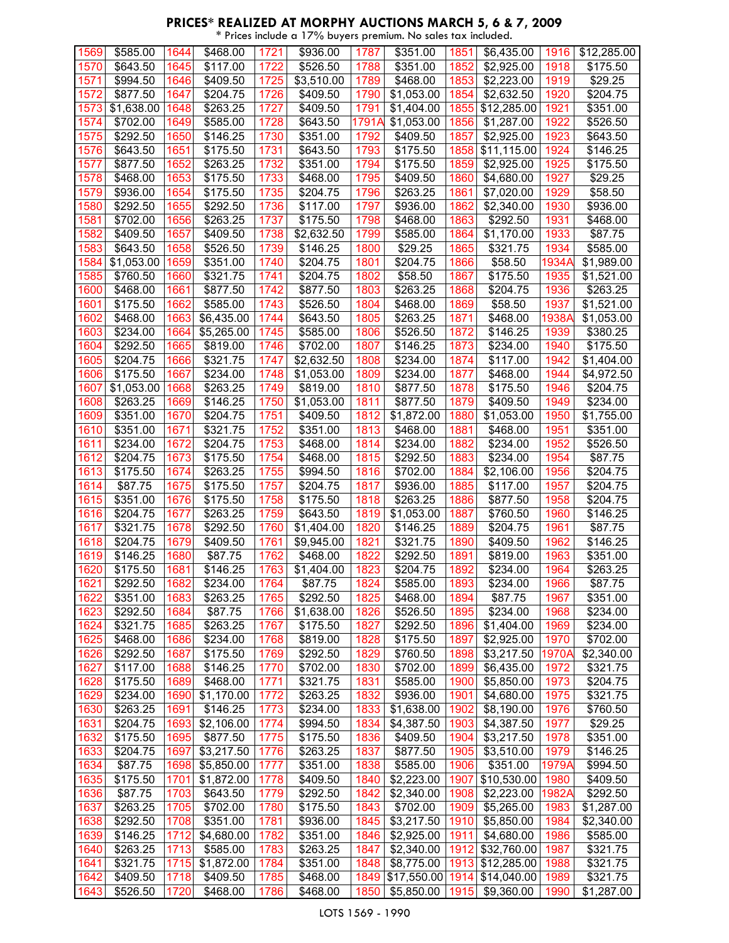| 1569 | \$585.00             | 1644 | \$468.00             | 1721 | \$936.00             | 1787  | \$351.00               | 1851 | \$6,435.00                        | 1916  | \$12,285.00      |
|------|----------------------|------|----------------------|------|----------------------|-------|------------------------|------|-----------------------------------|-------|------------------|
| 1570 | \$643.50             | 1645 | \$117.00             | 1722 | \$526.50             | 1788  | \$351.00               | 1852 | \$2,925.00                        | 1918  | \$175.50         |
| 1571 | $\sqrt{$}994.50$     | 1646 | \$409.50             | 1725 | \$3,510.00           | 1789  | $\overline{$}468.00$   | 1853 | \$2,223.00                        | 1919  | \$29.25          |
| 1572 | \$877.50             | 1647 | \$204.75             | 1726 | \$409.50             | 1790  | \$1,053.00             | 1854 | \$2,632.50                        | 1920  | \$204.75         |
| 1573 | \$1,638.00           | 1648 | \$263.25             | 1727 | \$409.50             | 1791  | \$1,404.00             | 1855 | \$12,285.00                       | 1921  | \$351.00         |
| 1574 | \$702.00             | 1649 | \$585.00             | 1728 | \$643.50             | 1791A | \$1,053.00             | 1856 | \$1,287.00                        | 1922  | \$526.50         |
| 1575 | $\overline{$}292.50$ | 1650 | $\overline{$}146.25$ | 1730 | \$351.00             | 1792  | \$409.50               | 1857 | \$2,925.00                        | 1923  | \$643.50         |
|      |                      |      |                      |      |                      |       |                        |      |                                   |       |                  |
| 1576 | \$643.50             | 1651 | \$175.50             | 1731 | \$643.50             | 1793  | \$175.50               | 1858 | \$11,115.00                       | 1924  | \$146.25         |
| 1577 | \$877.50             | 1652 | \$263.25             | 1732 | \$351.00             | 1794  | $\overline{$}175.50$   | 1859 | \$2,925.00                        | 1925  | \$175.50         |
| 1578 | \$468.00             | 1653 | \$175.50             | 1733 | \$468.00             | 1795  | \$409.50               | 1860 | \$4,680.00                        | 1927  | \$29.25          |
| 1579 | \$936.00             | 1654 | \$175.50             | 1735 | \$204.75             | 1796  | \$263.25               | 1861 | \$7,020.00                        | 1929  | \$58.50          |
| 1580 | \$292.50             | 1655 | \$292.50             | 1736 | \$117.00             | 1797  | \$936.00               | 1862 | \$2,340.00                        | 1930  | \$936.00         |
| 1581 | $\frac{1}{2}702.00$  | 1656 | \$263.25             | 1737 | \$175.50             | 1798  | \$468.00               | 1863 | \$292.50                          | 1931  | \$468.00         |
| 1582 | \$409.50             | 1657 | \$409.50             | 1738 | \$2,632.50           | 1799  | $\overline{$}585.00$   | 1864 | \$1,170.00                        | 1933  | \$87.75          |
| 1583 | \$643.50             | 1658 | \$526.50             | 1739 | \$146.25             | 1800  | \$29.25                | 1865 | \$321.75                          | 1934  | \$585.00         |
| 1584 | \$1,053.00           | 1659 | $\overline{$}351.00$ | 1740 | \$204.75             | 1801  | \$204.75               | 1866 | \$58.50                           | 1934A | \$1,989.00       |
| 1585 | \$760.50             | 1660 | \$321.75             | 1741 | \$204.75             | 1802  | \$58.50                | 1867 | \$175.50                          | 1935  | \$1,521.00       |
|      |                      |      |                      |      |                      |       |                        |      |                                   |       |                  |
| 1600 | \$468.00             | 1661 | \$877.50             | 1742 | \$877.50             | 1803  | \$263.25               | 1868 | \$204.75                          | 1936  | \$263.25         |
| 1601 | \$175.50             | 1662 | \$585.00             | 1743 | \$526.50             | 1804  | \$468.00               | 1869 | \$58.50                           | 1937  | \$1,521.00       |
| 1602 | \$468.00             | 1663 | \$6,435.00           | 1744 | \$643.50             | 1805  | \$263.25               | 1871 | \$468.00                          | 1938A | \$1,053.00       |
| 1603 | \$234.00             | 1664 | \$5,265.00           | 1745 | \$585.00             | 1806  | \$526.50               | 1872 | \$146.25                          | 1939  | \$380.25         |
| 1604 | \$292.50             | 1665 | \$819.00             | 1746 | \$702.00             | 1807  | $\overline{$}146.25$   | 1873 | \$234.00                          | 1940  | \$175.50         |
| 1605 | $\overline{$}204.75$ | 1666 | $\overline{$}321.75$ | 1747 | \$2,632.50           | 1808  | $\overline{$}234.00$   | 1874 | \$117.00                          | 1942  | \$1,404.00       |
| 1606 | \$175.50             | 1667 | \$234.00             | 1748 | \$1,053.00           | 1809  | \$234.00               | 1877 | \$468.00                          | 1944  | \$4,972.50       |
| 1607 | \$1,053.00           | 1668 | \$263.25             | 1749 | \$819.00             | 1810  | \$877.50               | 1878 | \$175.50                          | 1946  | \$204.75         |
| 1608 | \$263.25             | 1669 | \$146.25             | 1750 | \$1,053.00           | 1811  | \$877.50               | 1879 | \$409.50                          | 1949  | $\sqrt{2}$ 34.00 |
| 1609 | \$351.00             | 1670 | \$204.75             | 1751 | \$409.50             | 1812  | \$1,872.00             | 1880 | \$1,053.00                        | 1950  | \$1,755.00       |
| 1610 | \$351.00             | 1671 | \$321.75             | 1752 | \$351.00             | 1813  | \$468.00               | 1881 | \$468.00                          | 1951  | \$351.00         |
| 1611 | \$234.00             | 1672 | \$204.75             | 1753 | \$468.00             | 1814  | \$234.00               | 1882 | \$234.00                          | 1952  | \$526.50         |
|      |                      |      |                      |      |                      |       |                        |      |                                   |       |                  |
| 1612 | \$204.75             | 1673 | \$175.50             | 1754 | \$468.00             | 1815  | $\overline{$}292.50$   | 1883 | \$234.00                          | 1954  | \$87.75          |
| 1613 | \$175.50             | 1674 | \$263.25             | 1755 | \$994.50             | 1816  | \$702.00               | 1884 | \$2,106.00                        | 1956  | \$204.75         |
| 1614 | \$87.75              | 1675 | \$175.50             | 1757 | $\overline{$}204.75$ | 1817  | \$936.00               | 1885 | \$117.00                          | 1957  | \$204.75         |
| 1615 | \$351.00             | 1676 | \$175.50             | 1758 | \$175.50             | 1818  | \$263.25               | 1886 | \$877.50                          | 1958  | \$204.75         |
| 1616 | \$204.75             | 1677 | \$263.25             | 1759 | \$643.50             | 1819  | \$1,053.00             | 1887 | \$760.50                          | 1960  | \$146.25         |
| 1617 | \$321.75             | 1678 | \$292.50             | 1760 | \$1,404.00           | 1820  | \$146.25               | 1889 | \$204.75                          | 1961  | \$87.75          |
| 1618 | \$204.75             | 1679 | \$409.50             | 1761 | \$9,945.00           | 1821  | \$321.75               | 1890 | \$409.50                          | 1962  | \$146.25         |
| 1619 | \$146.25             | 1680 | \$87.75              | 1762 | \$468.00             | 1822  | \$292.50               | 1891 | \$819.00                          | 1963  | \$351.00         |
| 1620 | \$175.50             | 1681 | \$146.25             | 1763 | \$1,404.00           | 1823  | \$204.75               | 1892 | \$234.00                          | 1964  | \$263.25         |
| 1621 | \$292.50             | 1682 | \$234.00             | 1764 | \$87.75              | 1824  | \$585.00               | 1893 | \$234.00                          | 1966  | \$87.75          |
| 1622 | \$351.00             | 1683 | \$263.25             | 1765 | \$292.50             | 1825  | \$468.00               | 1894 | \$87.75                           | 1967  | \$351.00         |
| 1623 | \$292.50             | 1684 | \$87.75              | 1766 | \$1,638.00           | 1826  | \$526.50               | 1895 | \$234.00                          | 1968  | \$234.00         |
|      | \$321.75             |      |                      |      |                      |       |                        |      |                                   |       |                  |
| 1624 |                      | 1685 | \$263.25             | 1767 | \$175.50             | 1827  | \$292.50               | 1896 | \$1,404.00                        | 1969  | \$234.00         |
| 1625 | \$468.00             | 1686 | \$234.00             | 1768 | \$819.00             | 1828  | \$175.50               | 1897 | \$2,925.00                        | 1970  | \$702.00         |
| 1626 | \$292.50             | 1687 | \$175.50             | 1769 | \$292.50             | 1829  | \$760.50               | 1898 | \$3,217.50                        | 1970A | \$2,340.00       |
| 1627 | \$117.00             | 1688 | \$146.25             | 1770 | \$702.00             | 1830  | \$702.00               | 1899 | \$6,435.00                        | 1972  | \$321.75         |
| 1628 | \$175.50             | 1689 | \$468.00             | 1771 | \$321.75             | 1831  | \$585.00               | 1900 | \$5,850.00                        | 1973  | \$204.75         |
| 1629 | \$234.00             | 1690 | \$1,170.00           | 1772 | \$263.25             | 1832  | \$936.00               | 1901 | \$4,680.00                        | 1975  | \$321.75         |
| 1630 | \$263.25             | 1691 | \$146.25             | 1773 | \$234.00             | 1833  | \$1,638.00             | 1902 | \$8,190.00                        | 1976  | \$760.50         |
| 1631 | \$204.75             | 1693 | \$2,106.00           | 1774 | \$994.50             | 1834  | \$4,387.50             | 1903 | \$4,387.50                        | 1977  | \$29.25          |
| 1632 | \$175.50             | 1695 | \$877.50             | 1775 | \$175.50             | 1836  | \$409.50               | 1904 | \$3,217.50                        | 1978  | \$351.00         |
| 1633 | \$204.75             | 1697 | \$3,217.50           | 1776 | \$263.25             | 1837  | \$877.50               | 1905 | \$3,510.00                        | 1979  | \$146.25         |
| 1634 | \$87.75              | 1698 | \$5,850.00           | 1777 | \$351.00             | 1838  | \$585.00               | 1906 | \$351.00                          | 1979A | \$994.50         |
| 1635 | \$175.50             | 1701 | \$1,872.00           | 1778 | \$409.50             | 1840  | \$2,223.00             | 1907 | \$10,530.00                       | 1980  | \$409.50         |
| 1636 | \$87.75              | 1703 | \$643.50             | 1779 | \$292.50             | 1842  | \$2,340.00             | 1908 | \$2,223.00                        | 1982A | \$292.50         |
|      |                      |      |                      |      |                      |       |                        |      |                                   |       |                  |
| 1637 | \$263.25             | 1705 | \$702.00             | 1780 | \$175.50             | 1843  | \$702.00               | 1909 | \$5,265.00                        | 1983  | \$1,287.00       |
| 1638 | \$292.50             | 1708 | \$351.00             | 1781 | \$936.00             | 1845  | \$3,217.50             | 1910 | \$5,850.00                        | 1984  | \$2,340.00       |
| 1639 | \$146.25             | 1712 | \$4,680.00           | 1782 | $\sqrt{$351.00}$     | 1846  | \$2,925.00             | 1911 | \$4,680.00                        | 1986  | \$585.00         |
| 1640 | \$263.25             | 1713 | \$585.00             | 1783 | \$263.25             | 1847  | \$2,340.00             | 1912 | \$32,760.00                       | 1987  | \$321.75         |
| 1641 | \$321.75             | 1715 | \$1,872.00           | 1784 | \$351.00             | 1848  | \$8,775.00             | 1913 | \$12,285.00                       | 1988  | \$321.75         |
| 1642 | \$409.50             | 1718 | \$409.50             | 1785 | \$468.00             |       |                        |      | 1849 \$17,550.00 1914 \$14,040.00 | 1989  | \$321.75         |
| 1643 | \$526.50             | 1720 | \$468.00             | 1786 | \$468.00             | 1850  | $\overline{$}5,850.00$ | 1915 | \$9,360.00                        | 1990  | \$1,287.00       |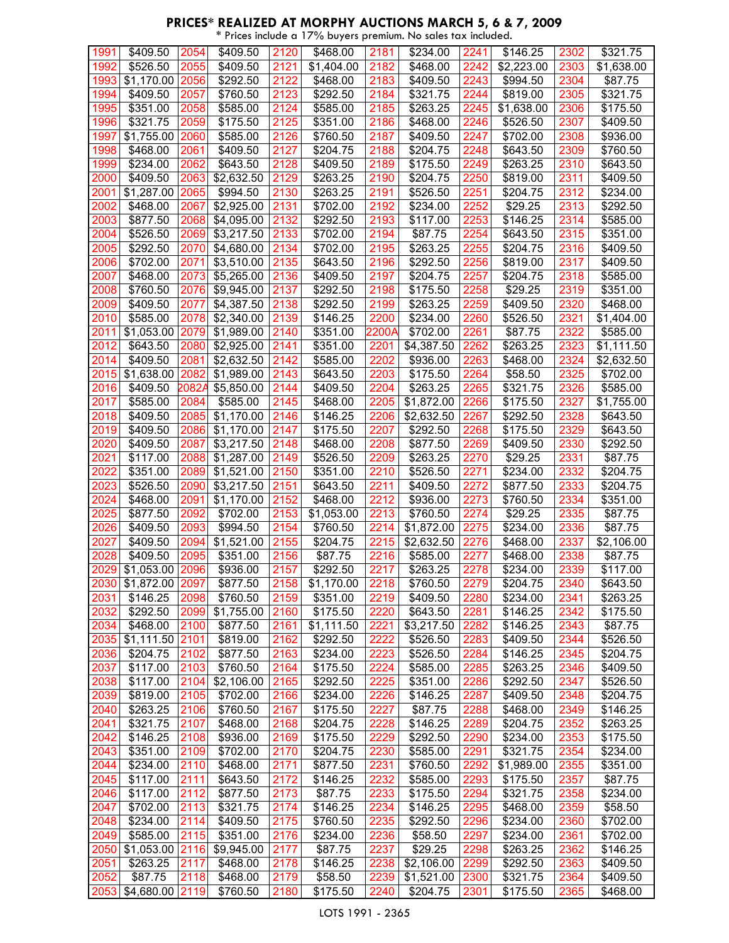|  | * Prices include a 17% buyers premium. No sales tax included. |
|--|---------------------------------------------------------------|

| 1991 | \$409.50             | 2054  | $\sqrt{3}409.50$     | 2120 | \$468.00   | 2181  | \$234.00             | 2241 | \$146.25   | 2302 | \$321.75         |
|------|----------------------|-------|----------------------|------|------------|-------|----------------------|------|------------|------|------------------|
| 1992 | \$526.50             | 2055  | \$409.50             | 2121 | \$1,404.00 | 2182  | \$468.00             | 2242 | \$2,223.00 | 2303 | \$1,638.00       |
| 1993 | \$1,170.00           | 2056  | 3292.50              | 2122 | \$468.00   | 2183  | \$409.50             | 2243 | \$994.50   | 2304 | \$87.75          |
| 1994 | \$409.50             | 2057  | \$760.50             | 2123 | \$292.50   | 2184  | \$321.75             | 2244 | \$819.00   | 2305 | \$321.75         |
| 1995 | \$351.00             | 2058  | \$585.00             | 2124 | \$585.00   | 2185  | \$263.25             | 2245 | \$1,638.00 | 2306 | \$175.50         |
| 1996 | \$321.75             | 2059  | \$175.50             | 2125 | \$351.00   | 2186  | \$468.00             | 2246 | \$526.50   | 2307 | \$409.50         |
| 1997 | \$1,755.00           | 2060  | \$585.00             | 2126 | \$760.50   | 2187  | \$409.50             | 2247 | \$702.00   | 2308 | \$936.00         |
| 1998 | \$468.00             | 2061  | \$409.50             | 2127 | \$204.75   | 2188  | \$204.75             | 2248 | \$643.50   | 2309 | \$760.50         |
| 1999 | $\overline{$234.00}$ | 2062  | \$643.50             | 2128 | \$409.50   | 2189  | \$175.50             | 2249 | \$263.25   | 2310 | \$643.50         |
| 2000 | \$409.50             | 2063  | \$2,632.50           | 2129 | \$263.25   | 2190  | \$204.75             | 2250 | \$819.00   | 2311 | \$409.50         |
| 2001 | \$1,287.00           | 2065  | \$994.50             | 2130 | \$263.25   | 2191  | \$526.50             | 2251 | \$204.75   | 2312 | \$234.00         |
| 2002 | \$468.00             | 2067  | \$2,925.00           | 2131 | \$702.00   | 2192  | \$234.00             | 2252 | \$29.25    | 2313 | \$292.50         |
| 2003 | \$877.50             | 2068  | \$4,095.00           | 2132 | \$292.50   | 2193  | $\overline{$}117.00$ | 2253 | \$146.25   | 2314 | \$585.00         |
| 2004 | \$526.50             | 2069  | \$3,217.50           | 2133 | \$702.00   | 2194  | $\overline{$87.75}$  | 2254 | \$643.50   | 2315 | \$351.00         |
| 2005 | \$292.50             | 2070  | \$4,680.00           | 2134 | \$702.00   | 2195  | \$263.25             | 2255 | \$204.75   | 2316 | \$409.50         |
| 2006 | \$702.00             | 2071  | \$3,510.00           | 2135 | \$643.50   | 2196  | \$292.50             | 2256 | \$819.00   | 2317 | \$409.50         |
| 2007 | \$468.00             | 2073  | \$5,265.00           | 2136 | \$409.50   | 2197  | \$204.75             | 2257 | \$204.75   | 2318 | \$585.00         |
| 2008 | \$760.50             | 2076  | \$9,945.00           | 2137 | \$292.50   | 2198  | \$175.50             | 2258 | \$29.25    | 2319 | \$351.00         |
| 2009 | \$409.50             | 2077  | \$4,387.50           | 2138 | \$292.50   | 2199  | \$263.25             | 2259 | \$409.50   | 2320 | \$468.00         |
| 2010 | \$585.00             | 2078  | \$2,340.00           | 2139 | \$146.25   | 2200  | \$234.00             | 2260 | \$526.50   | 2321 | \$1,404.00       |
| 2011 | \$1,053.00           | 2079  | \$1,989.00           | 2140 | \$351.00   | 2200A | \$702.00             | 2261 | \$87.75    | 2322 | \$585.00         |
| 2012 | \$643.50             | 2080  | \$2,925.00           | 2141 | \$351.00   | 2201  | \$4,387.50           | 2262 | \$263.25   | 2323 | \$1,111.50       |
| 2014 | \$409.50             | 2081  | \$2,632.50           | 2142 | \$585.00   | 2202  | \$936.00             | 2263 | \$468.00   | 2324 | \$2,632.50       |
| 2015 | \$1,638.00           | 2082  | \$1,989.00           | 2143 | \$643.50   | 2203  | \$175.50             | 2264 | \$58.50    | 2325 | \$702.00         |
| 2016 | \$409.50             | 2082A | \$5,850.00           | 2144 | \$409.50   | 2204  | \$263.25             | 2265 | \$321.75   | 2326 | \$585.00         |
| 2017 | \$585.00             | 2084  | \$585.00             | 2145 | \$468.00   | 2205  | \$1,872.00           | 2266 | \$175.50   | 2327 | \$1,755.00       |
| 2018 | \$409.50             | 2085  | \$1,170.00           | 2146 | \$146.25   | 2206  | \$2,632.50           | 2267 | \$292.50   | 2328 | \$643.50         |
| 2019 | \$409.50             | 2086  | \$1,170.00           | 2147 | \$175.50   | 2207  | \$292.50             | 2268 | \$175.50   | 2329 | \$643.50         |
| 2020 | \$409.50             | 2087  | \$3,217.50           | 2148 | \$468.00   | 2208  | \$877.50             | 2269 | \$409.50   | 2330 | \$292.50         |
| 2021 | \$117.00             | 2088  | \$1,287.00           | 2149 | \$526.50   | 2209  | \$263.25             | 2270 | \$29.25    | 2331 | \$87.75          |
| 2022 | \$351.00             | 2089  | \$1,521.00           | 2150 | \$351.00   | 2210  | \$526.50             | 2271 | \$234.00   | 2332 | \$204.75         |
| 2023 | \$526.50             | 2090  | \$3,217.50           | 2151 | \$643.50   | 2211  | \$409.50             | 2272 | \$877.50   | 2333 | \$204.75         |
| 2024 | \$468.00             | 2091  | \$1,170.00           | 2152 | \$468.00   | 2212  | \$936.00             | 2273 | \$760.50   | 2334 | $\sqrt{3}351.00$ |
| 2025 | \$877.50             | 2092  | \$702.00             | 2153 | \$1,053.00 | 2213  | \$760.50             | 2274 | \$29.25    | 2335 | \$87.75          |
| 2026 | \$409.50             | 2093  | $\sqrt{$}994.50$     | 2154 | \$760.50   | 2214  | \$1,872.00           | 2275 | \$234.00   | 2336 | \$87.75          |
| 2027 | \$409.50             | 2094  | \$1,521.00           | 2155 | \$204.75   | 2215  | \$2,632.50           | 2276 | \$468.00   | 2337 | \$2,106.00       |
| 2028 | \$409.50             | 2095  | \$351.00             | 2156 | \$87.75    | 2216  | \$585.00             | 2277 | \$468.00   | 2338 | \$87.75          |
| 2029 | \$1,053.00           | 2096  | \$936.00             | 2157 | \$292.50   | 2217  | \$263.25             | 2278 | \$234.00   | 2339 | \$117.00         |
| 2030 | \$1,872.00 2097      |       | \$877.50             | 2158 | \$1,170.00 | 2218  | \$760.50             | 2279 | \$204.75   | 2340 | \$643.50         |
| 2031 | \$146.25             | 2098  | \$760.50             | 2159 | \$351.00   | 2219  | \$409.50             | 2280 | \$234.00   | 2341 | \$263.25         |
| 2032 | \$292.50             | 2099  | \$1,755.00           | 2160 | \$175.50   | 2220  | \$643.50             | 2281 | \$146.25   | 2342 | \$175.50         |
| 2034 | \$468.00             | 2100  | \$877.50             | 2161 | \$1,111.50 | 2221  | \$3,217.50           | 2282 | \$146.25   | 2343 | \$87.75          |
| 2035 | \$1,111.50           | 2101  | \$819.00             | 2162 | \$292.50   | 2222  | \$526.50             | 2283 | \$409.50   | 2344 | \$526.50         |
| 2036 | \$204.75             | 2102  | \$877.50             | 2163 | \$234.00   | 2223  | \$526.50             | 2284 | \$146.25   | 2345 | \$204.75         |
| 2037 | \$117.00             | 2103  | \$760.50             | 2164 | \$175.50   | 2224  | \$585.00             | 2285 | \$263.25   | 2346 | \$409.50         |
| 2038 | \$117.00             | 2104  | \$2,106.00           | 2165 | \$292.50   | 2225  | \$351.00             | 2286 | \$292.50   | 2347 | \$526.50         |
| 2039 | \$819.00             | 2105  | \$702.00             | 2166 | \$234.00   | 2226  | \$146.25             | 2287 | \$409.50   | 2348 | \$204.75         |
| 2040 | \$263.25             | 2106  | \$760.50             | 2167 | \$175.50   | 2227  | \$87.75              | 2288 | \$468.00   | 2349 | \$146.25         |
| 2041 | \$321.75             | 2107  | \$468.00             | 2168 | \$204.75   | 2228  | \$146.25             | 2289 | \$204.75   | 2352 | \$263.25         |
| 2042 | \$146.25             | 2108  | \$936.00             | 2169 | \$175.50   | 2229  | \$292.50             | 2290 | \$234.00   | 2353 | \$175.50         |
| 2043 | \$351.00             | 2109  | \$702.00             | 2170 | \$204.75   | 2230  | \$585.00             | 2291 | \$321.75   | 2354 | \$234.00         |
| 2044 | \$234.00             | 2110  | \$468.00             | 2171 | \$877.50   | 2231  | \$760.50             | 2292 | \$1,989.00 | 2355 | \$351.00         |
| 2045 | \$117.00             | 2111  | \$643.50             | 2172 | \$146.25   | 2232  | \$585.00             | 2293 | \$175.50   | 2357 | \$87.75          |
| 2046 | \$117.00             | 2112  | \$877.50             | 2173 | \$87.75    | 2233  | \$175.50             | 2294 | \$321.75   | 2358 | \$234.00         |
| 2047 | \$702.00             | 2113  | \$321.75             | 2174 | \$146.25   | 2234  | \$146.25             | 2295 | \$468.00   | 2359 | \$58.50          |
| 2048 | \$234.00             | 2114  | \$409.50             | 2175 | \$760.50   | 2235  | \$292.50             | 2296 | \$234.00   | 2360 | \$702.00         |
| 2049 | \$585.00             | 2115  | $\overline{$}351.00$ | 2176 | \$234.00   | 2236  | \$58.50              | 2297 | \$234.00   | 2361 | \$702.00         |
| 2050 | $$1,053.00$ 2116     |       | \$9,945.00           | 2177 | \$87.75    | 2237  | \$29.25              | 2298 | \$263.25   | 2362 | \$146.25         |
| 2051 | \$263.25             | 2117  | \$468.00             | 2178 | \$146.25   | 2238  | \$2,106.00           | 2299 | \$292.50   | 2363 | \$409.50         |
| 2052 | \$87.75              | 2118  | \$468.00             | 2179 | \$58.50    | 2239  | \$1,521.00           | 2300 | \$321.75   | 2364 | \$409.50         |
| 2053 | \$4,680.00 2119      |       | \$760.50             | 2180 | \$175.50   | 2240  | \$204.75             | 2301 | \$175.50   | 2365 | \$468.00         |
|      |                      |       |                      |      |            |       |                      |      |            |      |                  |